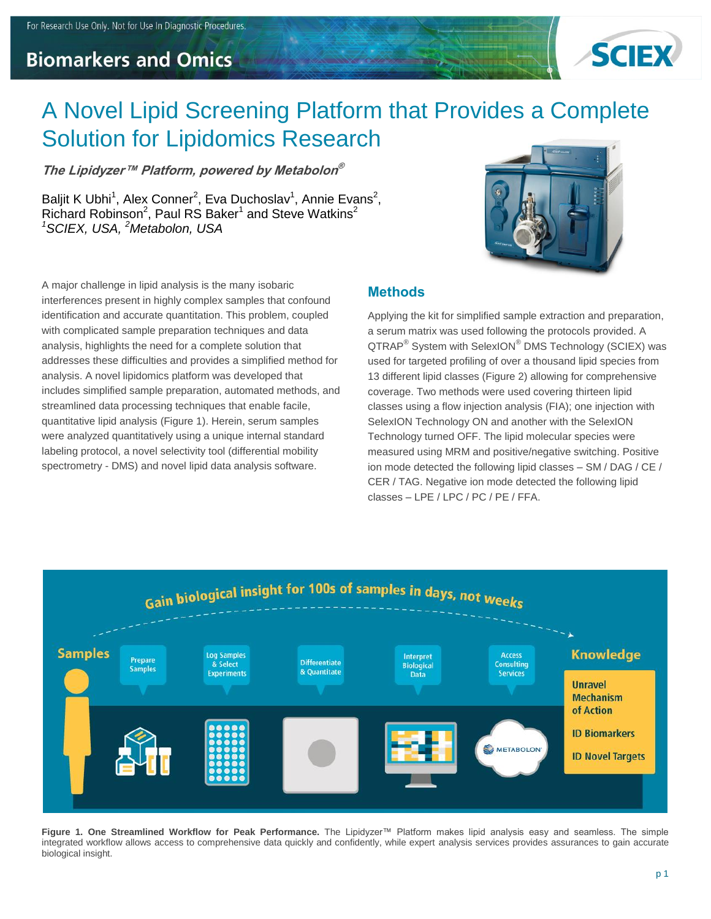## **Biomarkers and Omics**



# A Novel Lipid Screening Platform that Provides a Complete Solution for Lipidomics Research

**The Lipidyzer™ Platform, powered by Metabolon ®**

Baljit K Ubhi<sup>1</sup>, Alex Conner<sup>2</sup>, Eva Duchoslav<sup>1</sup>, Annie Evans<sup>2</sup>, Richard Robinson<sup>2</sup>, Paul RS Baker<sup>1</sup> and Steve Watkins<sup>2</sup> *<sup>1</sup>SCIEX, USA, <sup>2</sup>Metabolon, USA*



A major challenge in lipid analysis is the many isobaric interferences present in highly complex samples that confound identification and accurate quantitation. This problem, coupled with complicated sample preparation techniques and data analysis, highlights the need for a complete solution that addresses these difficulties and provides a simplified method for analysis. A novel lipidomics platform was developed that includes simplified sample preparation, automated methods, and streamlined data processing techniques that enable facile, quantitative lipid analysis (Figure 1). Herein, serum samples were analyzed quantitatively using a unique internal standard labeling protocol, a novel selectivity tool (differential mobility spectrometry - DMS) and novel lipid data analysis software.

#### **Methods**

Applying the kit for simplified sample extraction and preparation, a serum matrix was used following the protocols provided. A QTRAP<sup>®</sup> System with SelexION<sup>®</sup> DMS Technology (SCIEX) was used for targeted profiling of over a thousand lipid species from 13 different lipid classes (Figure 2) allowing for comprehensive coverage. Two methods were used covering thirteen lipid classes using a flow injection analysis (FIA); one injection with SelexION Technology ON and another with the SelexION Technology turned OFF. The lipid molecular species were measured using MRM and positive/negative switching. Positive ion mode detected the following lipid classes – SM / DAG / CE / CER / TAG. Negative ion mode detected the following lipid classes – LPE / LPC / PC / PE / FFA.



**Figure 1. One Streamlined Workflow for Peak Performance.** The Lipidyzer™ Platform makes lipid analysis easy and seamless. The simple integrated workflow allows access to comprehensive data quickly and confidently, while expert analysis services provides assurances to gain accurate biological insight.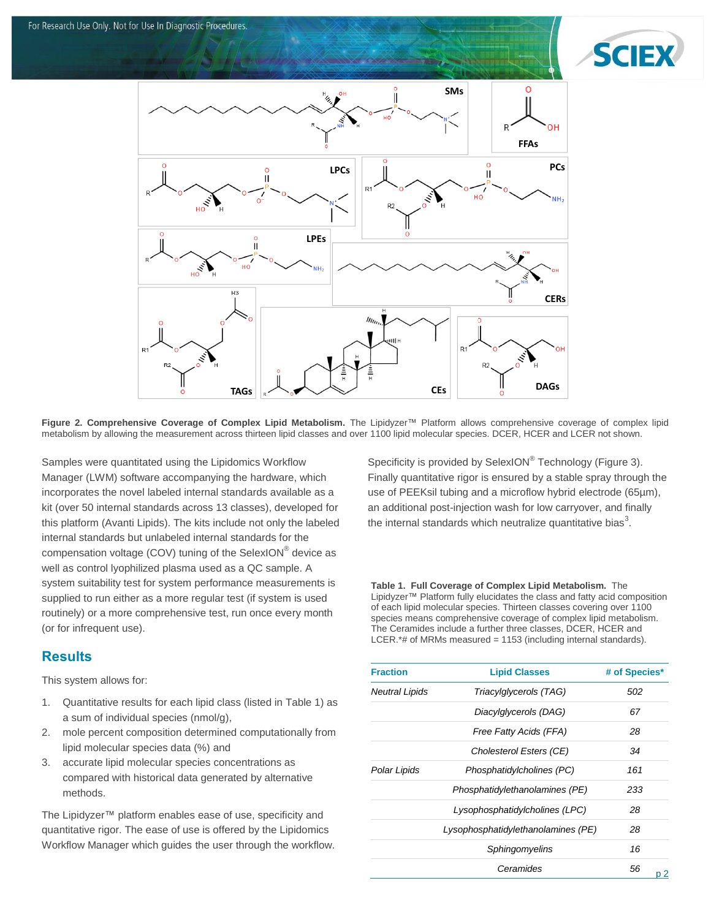



**Figure 2. Comprehensive Coverage of Complex Lipid Metabolism.** The Lipidyzer™ Platform allows comprehensive coverage of complex lipid metabolism by allowing the measurement across thirteen lipid classes and over 1100 lipid molecular species. DCER, HCER and LCER not shown.

Samples were quantitated using the Lipidomics Workflow Manager (LWM) software accompanying the hardware, which incorporates the novel labeled internal standards available as a kit (over 50 internal standards across 13 classes), developed for this platform (Avanti Lipids). The kits include not only the labeled internal standards but unlabeled internal standards for the compensation voltage (COV) tuning of the SelexION® device as well as control lyophilized plasma used as a QC sample. A system suitability test for system performance measurements is supplied to run either as a more regular test (if system is used routinely) or a more comprehensive test, run once every month (or for infrequent use).

#### **Results**

This system allows for:

- 1. Quantitative results for each lipid class (listed in Table 1) as a sum of individual species (nmol/g),
- 2. mole percent composition determined computationally from lipid molecular species data (%) and
- 3. accurate lipid molecular species concentrations as compared with historical data generated by alternative methods.

The Lipidyzer™ platform enables ease of use, specificity and quantitative rigor. The ease of use is offered by the Lipidomics Workflow Manager which guides the user through the workflow.

Specificity is provided by SelexION® Technology (Figure 3). Finally quantitative rigor is ensured by a stable spray through the use of PEEKsil tubing and a microflow hybrid electrode (65µm), an additional post-injection wash for low carryover, and finally the internal standards which neutralize quantitative bias<sup>3</sup>.

**Table 1. Full Coverage of Complex Lipid Metabolism.** The Lipidyzer™ Platform fully elucidates the class and fatty acid composition of each lipid molecular species. Thirteen classes covering over 1100 species means comprehensive coverage of complex lipid metabolism. The Ceramides include a further three classes, DCER, HCER and LCER.\*# of MRMs measured = 1153 (including internal standards).

| <b>Fraction</b>       | <b>Lipid Classes</b>               | # of Species* |
|-----------------------|------------------------------------|---------------|
| <b>Neutral Lipids</b> | Triacylglycerols (TAG)             | 502           |
|                       | Diacylglycerols (DAG)              | 67            |
|                       | Free Fatty Acids (FFA)             | 28            |
|                       | Cholesterol Esters (CE)            | 34            |
| Polar Lipids          | Phosphatidylcholines (PC)          | 161           |
|                       | Phosphatidylethanolamines (PE)     | 233           |
|                       | Lysophosphatidylcholines (LPC)     | 28            |
|                       | Lysophosphatidylethanolamines (PE) | 28            |
|                       | Sphingomyelins                     | 16            |
|                       | Ceramides                          | 56<br>p 2     |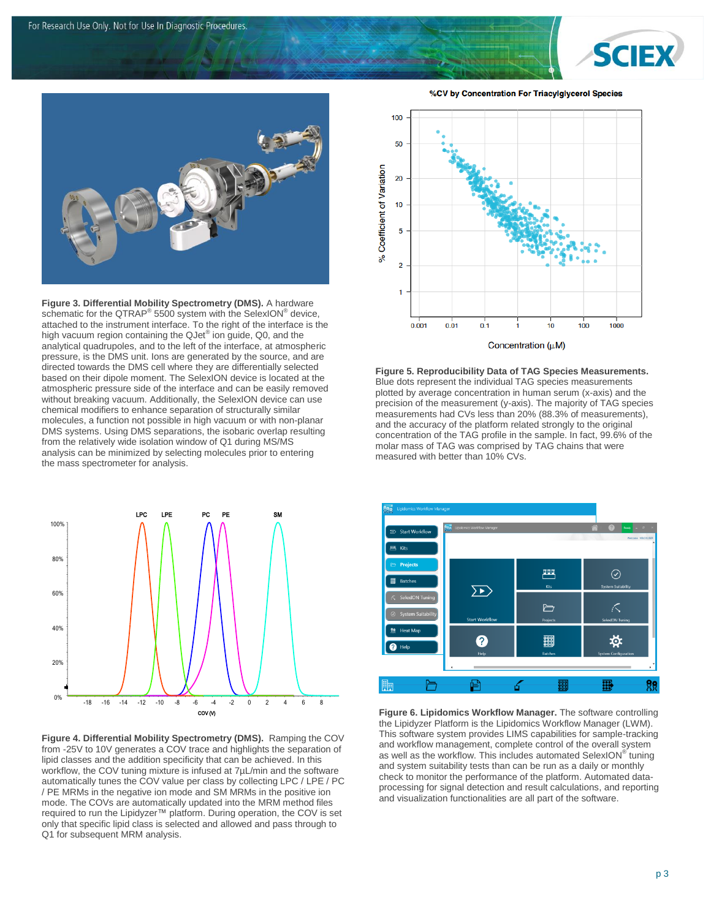



**Figure 3. Differential Mobility Spectrometry (DMS).** A hardware schematic for the QTRAP<sup>®</sup> 5500 system with the SelexION<sup>®</sup> device, attached to the instrument interface. To the right of the interface is the high vacuum region containing the QJet® ion guide, Q0, and the analytical quadrupoles, and to the left of the interface, at atmospheric pressure, is the DMS unit. Ions are generated by the source, and are directed towards the DMS cell where they are differentially selected based on their dipole moment. The SelexION device is located at the atmospheric pressure side of the interface and can be easily removed without breaking vacuum. Additionally, the SelexION device can use chemical modifiers to enhance separation of structurally similar molecules, a function not possible in high vacuum or with non-planar DMS systems. Using DMS separations, the isobaric overlap resulting from the relatively wide isolation window of Q1 during MS/MS analysis can be minimized by selecting molecules prior to entering the mass spectrometer for analysis.



**Figure 4. Differential Mobility Spectrometry (DMS).** Ramping the COV from -25V to 10V generates a COV trace and highlights the separation of lipid classes and the addition specificity that can be achieved. In this workflow, the COV tuning mixture is infused at 7µL/min and the software automatically tunes the COV value per class by collecting LPC / LPE / PC / PE MRMs in the negative ion mode and SM MRMs in the positive ion mode. The COVs are automatically updated into the MRM method files required to run the Lipidyzer™ platform. During operation, the COV is set only that specific lipid class is selected and allowed and pass through to Q1 for subsequent MRM analysis.

%CV by Concentration For Triacylglycerol Species



**Figure 5. Reproducibility Data of TAG Species Measurements.**  Blue dots represent the individual TAG species measurements plotted by average concentration in human serum (x-axis) and the precision of the measurement (y-axis). The majority of TAG species measurements had CVs less than 20% (88.3% of measurements), and the accuracy of the platform related strongly to the original concentration of the TAG profile in the sample. In fact, 99.6% of the molar mass of TAG was comprised by TAG chains that were measured with better than 10% CVs.



**Figure 6. Lipidomics Workflow Manager.** The software controlling the Lipidyzer Platform is the Lipidomics Workflow Manager (LWM). This software system provides LIMS capabilities for sample-tracking and workflow management, complete control of the overall system as well as the workflow. This includes automated SelexION® tuning and system suitability tests than can be run as a daily or monthly check to monitor the performance of the platform. Automated dataprocessing for signal detection and result calculations, and reporting and visualization functionalities are all part of the software.